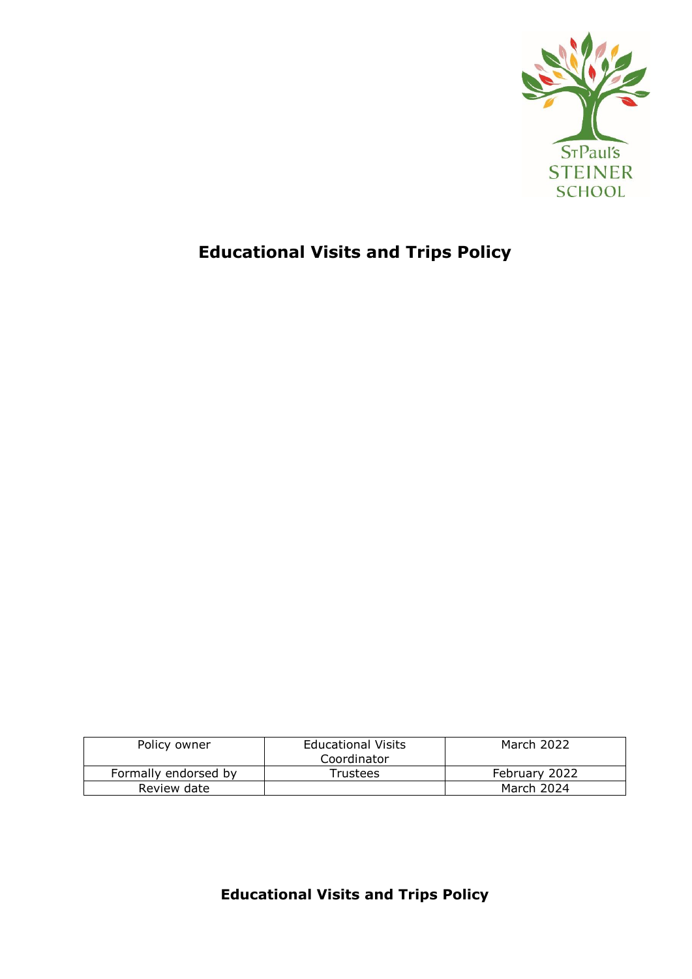

# **Educational Visits and Trips Policy**

| Policy owner         | <b>Educational Visits</b><br>Coordinator | March 2022    |
|----------------------|------------------------------------------|---------------|
| Formally endorsed by | <b>Trustees</b>                          | February 2022 |
| Review date          |                                          | March 2024    |

**Educational Visits and Trips Policy**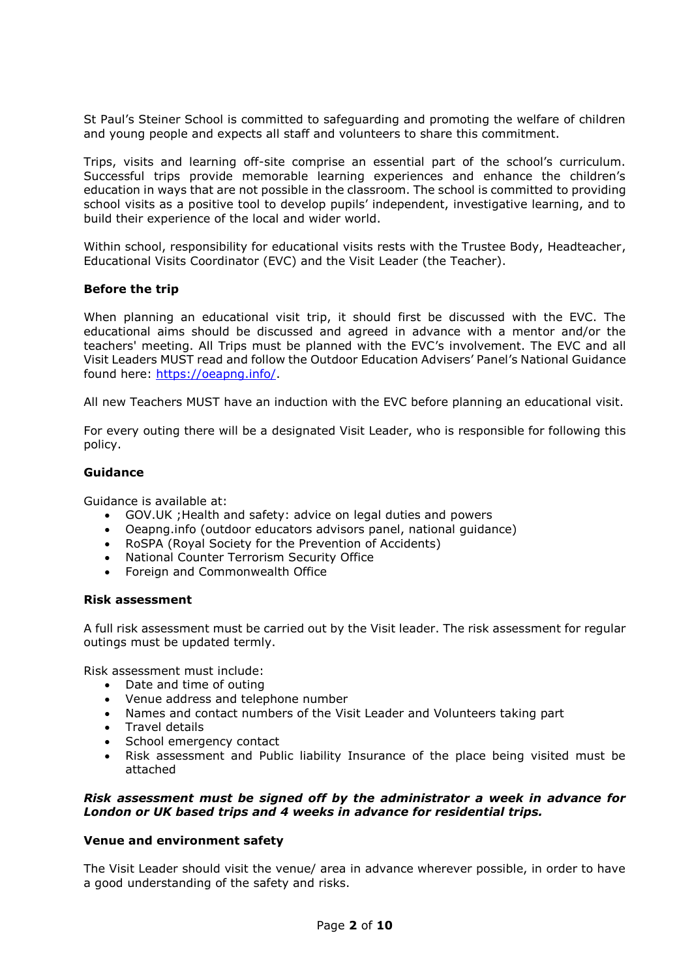St Paul's Steiner School is committed to safeguarding and promoting the welfare of children and young people and expects all staff and volunteers to share this commitment.

Trips, visits and learning off-site comprise an essential part of the school's curriculum. Successful trips provide memorable learning experiences and enhance the children's education in ways that are not possible in the classroom. The school is committed to providing school visits as a positive tool to develop pupils' independent, investigative learning, and to build their experience of the local and wider world.

Within school, responsibility for educational visits rests with the Trustee Body, Headteacher, Educational Visits Coordinator (EVC) and the Visit Leader (the Teacher).

# **Before the trip**

When planning an educational visit trip, it should first be discussed with the EVC. The educational aims should be discussed and agreed in advance with a mentor and/or the teachers' meeting. All Trips must be planned with the EVC's involvement. The EVC and all Visit Leaders MUST read and follow the Outdoor Education Advisers' Panel's National Guidance found here: [https://oeapng.info/.](https://oeapng.info/)

All new Teachers MUST have an induction with the EVC before planning an educational visit.

For every outing there will be a designated Visit Leader, who is responsible for following this policy.

# **Guidance**

Guidance is available at:

- GOV.UK ;Health and safety: advice on legal duties and powers
- Oeapng.info (outdoor educators advisors panel, national guidance)
- RoSPA (Royal Society for the Prevention of Accidents)
- National Counter Terrorism Security Office
- Foreign and Commonwealth Office

# **Risk assessment**

A full risk assessment must be carried out by the Visit leader. The risk assessment for regular outings must be updated termly.

Risk assessment must include:

- Date and time of outing
- Venue address and telephone number
- Names and contact numbers of the Visit Leader and Volunteers taking part
- Travel details
- School emergency contact
- Risk assessment and Public liability Insurance of the place being visited must be attached

# *Risk assessment must be signed off by the administrator a week in advance for London or UK based trips and 4 weeks in advance for residential trips.*

# **Venue and environment safety**

The Visit Leader should visit the venue/ area in advance wherever possible, in order to have a good understanding of the safety and risks.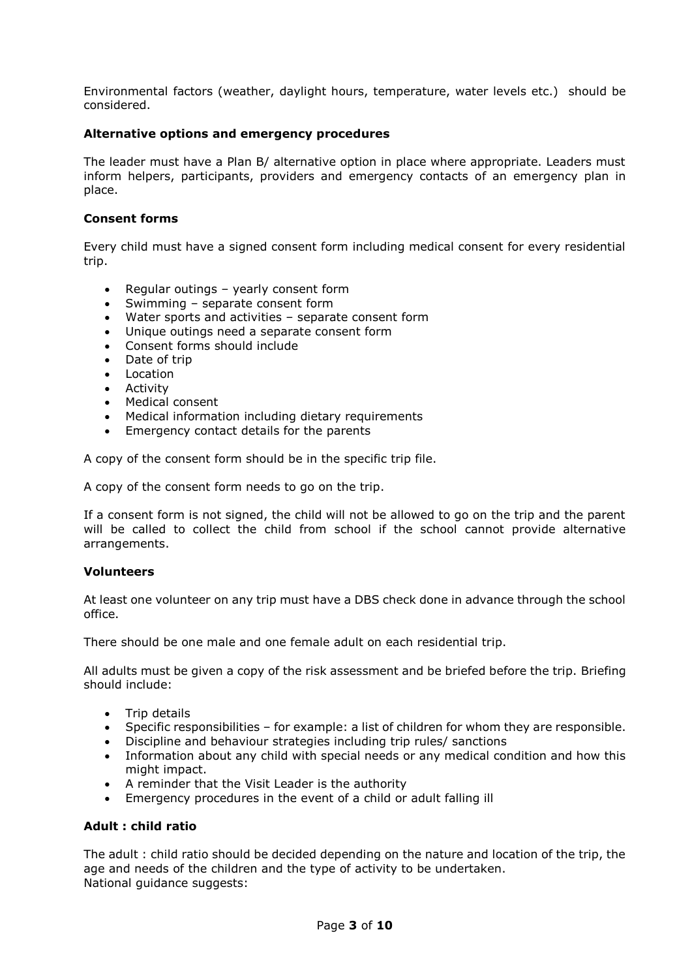Environmental factors (weather, daylight hours, temperature, water levels etc.) should be considered.

# **Alternative options and emergency procedures**

The leader must have a Plan B/ alternative option in place where appropriate. Leaders must inform helpers, participants, providers and emergency contacts of an emergency plan in place.

# **Consent forms**

Every child must have a signed consent form including medical consent for every residential trip.

- Regular outings yearly consent form
- Swimming separate consent form
- Water sports and activities separate consent form
- Unique outings need a separate consent form
- Consent forms should include
- Date of trip
- Location
- Activity
- Medical consent
- Medical information including dietary requirements
- Emergency contact details for the parents

A copy of the consent form should be in the specific trip file.

A copy of the consent form needs to go on the trip.

If a consent form is not signed, the child will not be allowed to go on the trip and the parent will be called to collect the child from school if the school cannot provide alternative arrangements.

# **Volunteers**

At least one volunteer on any trip must have a DBS check done in advance through the school office.

There should be one male and one female adult on each residential trip.

All adults must be given a copy of the risk assessment and be briefed before the trip. Briefing should include:

- Trip details
- Specific responsibilities for example: a list of children for whom they are responsible.
- Discipline and behaviour strategies including trip rules/ sanctions
- Information about any child with special needs or any medical condition and how this might impact.
- A reminder that the Visit Leader is the authority
- Emergency procedures in the event of a child or adult falling ill

# **Adult : child ratio**

The adult : child ratio should be decided depending on the nature and location of the trip, the age and needs of the children and the type of activity to be undertaken. National guidance suggests: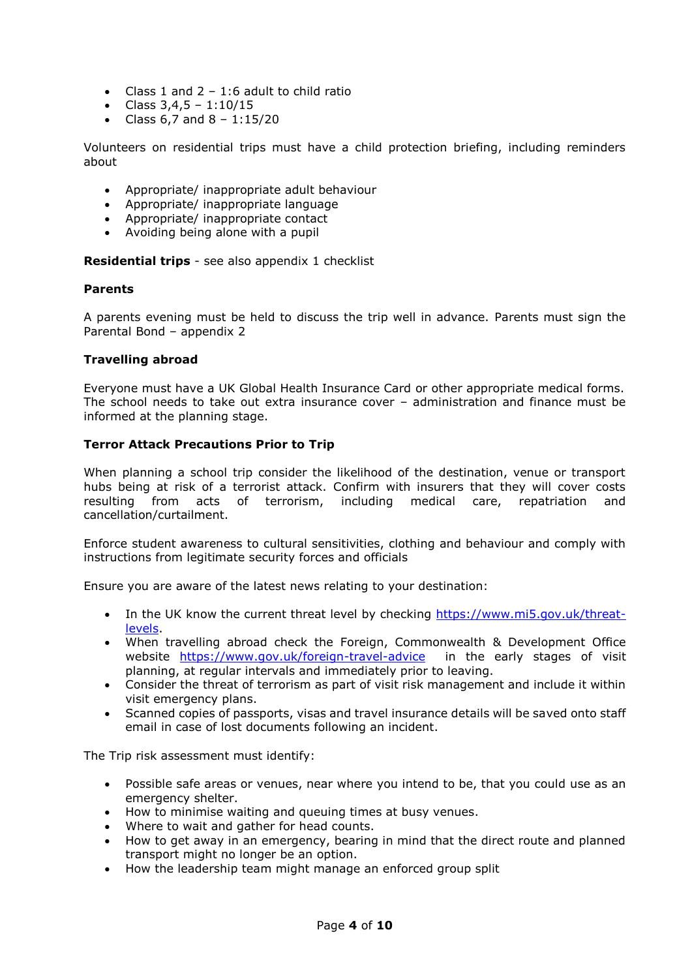- Class 1 and  $2 1:6$  adult to child ratio
- Class  $3,4,5 1:10/15$
- Class  $6,7$  and  $8 1:15/20$

Volunteers on residential trips must have a child protection briefing, including reminders about

- Appropriate/ inappropriate adult behaviour
- Appropriate/ inappropriate language
- Appropriate/ inappropriate contact
- Avoiding being alone with a pupil

**Residential trips** - see also appendix 1 checklist

# **Parents**

A parents evening must be held to discuss the trip well in advance. Parents must sign the Parental Bond – appendix 2

# **Travelling abroad**

Everyone must have a UK Global Health Insurance Card or other appropriate medical forms. The school needs to take out extra insurance cover – administration and finance must be informed at the planning stage.

# **Terror Attack Precautions Prior to Trip**

When planning a school trip consider the likelihood of the destination, venue or transport hubs being at risk of a terrorist attack. Confirm with insurers that they will cover costs resulting from acts of terrorism, including medical care, repatriation and cancellation/curtailment.

Enforce student awareness to cultural sensitivities, clothing and behaviour and comply with instructions from legitimate security forces and officials

Ensure you are aware of the latest news relating to your destination:

- In the UK know the current threat level by checking [https://www.mi5.gov.uk/threat](https://www.mi5.gov.uk/threat-levels)[levels.](https://www.mi5.gov.uk/threat-levels)
- When travelling abroad check the Foreign, Commonwealth & Development Office website <https://www.gov.uk/foreign-travel-advice> in the early stages of visit planning, at regular intervals and immediately prior to leaving.
- Consider the threat of terrorism as part of visit risk management and include it within visit emergency plans.
- Scanned copies of passports, visas and travel insurance details will be saved onto staff email in case of lost documents following an incident.

The Trip risk assessment must identify:

- Possible safe areas or venues, near where you intend to be, that you could use as an emergency shelter.
- How to minimise waiting and queuing times at busy venues.
- Where to wait and gather for head counts.
- How to get away in an emergency, bearing in mind that the direct route and planned transport might no longer be an option.
- How the leadership team might manage an enforced group split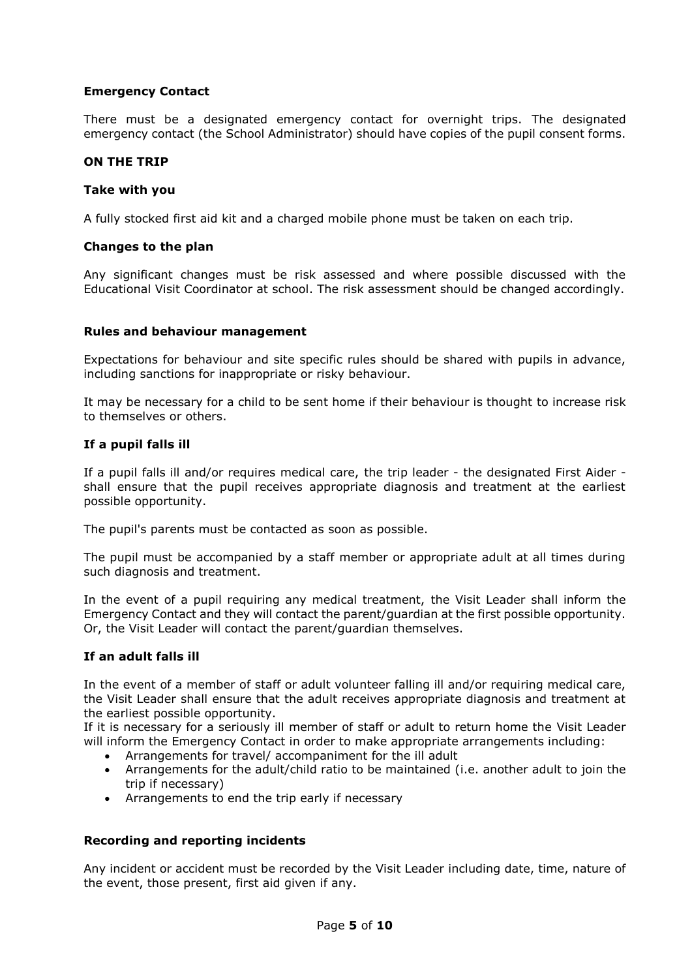# **Emergency Contact**

There must be a designated emergency contact for overnight trips. The designated emergency contact (the School Administrator) should have copies of the pupil consent forms.

#### **ON THE TRIP**

#### **Take with you**

A fully stocked first aid kit and a charged mobile phone must be taken on each trip.

#### **Changes to the plan**

Any significant changes must be risk assessed and where possible discussed with the Educational Visit Coordinator at school. The risk assessment should be changed accordingly.

#### **Rules and behaviour management**

Expectations for behaviour and site specific rules should be shared with pupils in advance, including sanctions for inappropriate or risky behaviour.

It may be necessary for a child to be sent home if their behaviour is thought to increase risk to themselves or others.

#### **If a pupil falls ill**

If a pupil falls ill and/or requires medical care, the trip leader - the designated First Aider shall ensure that the pupil receives appropriate diagnosis and treatment at the earliest possible opportunity.

The pupil's parents must be contacted as soon as possible.

The pupil must be accompanied by a staff member or appropriate adult at all times during such diagnosis and treatment.

In the event of a pupil requiring any medical treatment, the Visit Leader shall inform the Emergency Contact and they will contact the parent/guardian at the first possible opportunity. Or, the Visit Leader will contact the parent/guardian themselves.

# **If an adult falls ill**

In the event of a member of staff or adult volunteer falling ill and/or requiring medical care, the Visit Leader shall ensure that the adult receives appropriate diagnosis and treatment at the earliest possible opportunity.

If it is necessary for a seriously ill member of staff or adult to return home the Visit Leader will inform the Emergency Contact in order to make appropriate arrangements including:

- Arrangements for travel/ accompaniment for the ill adult
- Arrangements for the adult/child ratio to be maintained (i.e. another adult to join the trip if necessary)
- Arrangements to end the trip early if necessary

# **Recording and reporting incidents**

Any incident or accident must be recorded by the Visit Leader including date, time, nature of the event, those present, first aid given if any.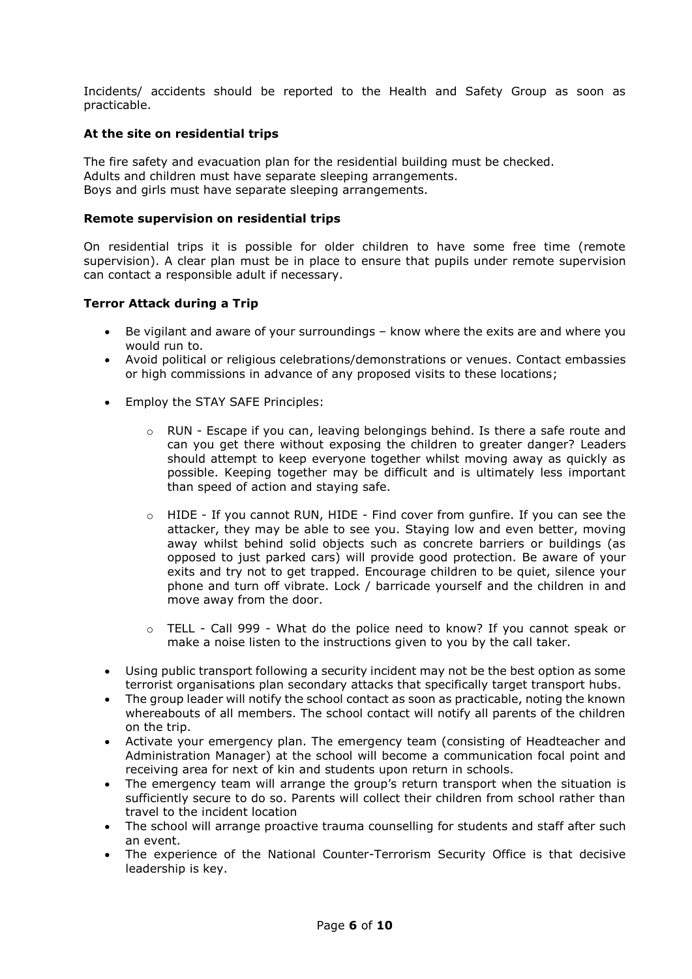Incidents/ accidents should be reported to the Health and Safety Group as soon as practicable.

# **At the site on residential trips**

The fire safety and evacuation plan for the residential building must be checked. Adults and children must have separate sleeping arrangements. Boys and girls must have separate sleeping arrangements.

# **Remote supervision on residential trips**

On residential trips it is possible for older children to have some free time (remote supervision). A clear plan must be in place to ensure that pupils under remote supervision can contact a responsible adult if necessary.

# **Terror Attack during a Trip**

- Be vigilant and aware of your surroundings know where the exits are and where you would run to.
- Avoid political or religious celebrations/demonstrations or venues. Contact embassies or high commissions in advance of any proposed visits to these locations;
- Employ the STAY SAFE Principles:
	- $\circ$  RUN Escape if you can, leaving belongings behind. Is there a safe route and can you get there without exposing the children to greater danger? Leaders should attempt to keep everyone together whilst moving away as quickly as possible. Keeping together may be difficult and is ultimately less important than speed of action and staying safe.
	- o HIDE If you cannot RUN, HIDE Find cover from gunfire. If you can see the attacker, they may be able to see you. Staying low and even better, moving away whilst behind solid objects such as concrete barriers or buildings (as opposed to just parked cars) will provide good protection. Be aware of your exits and try not to get trapped. Encourage children to be quiet, silence your phone and turn off vibrate. Lock / barricade yourself and the children in and move away from the door.
	- o TELL Call 999 What do the police need to know? If you cannot speak or make a noise listen to the instructions given to you by the call taker.
- Using public transport following a security incident may not be the best option as some terrorist organisations plan secondary attacks that specifically target transport hubs.
- The group leader will notify the school contact as soon as practicable, noting the known whereabouts of all members. The school contact will notify all parents of the children on the trip.
- Activate your emergency plan. The emergency team (consisting of Headteacher and Administration Manager) at the school will become a communication focal point and receiving area for next of kin and students upon return in schools.
- The emergency team will arrange the group's return transport when the situation is sufficiently secure to do so. Parents will collect their children from school rather than travel to the incident location
- The school will arrange proactive trauma counselling for students and staff after such an event.
- The experience of the National Counter-Terrorism Security Office is that decisive leadership is key.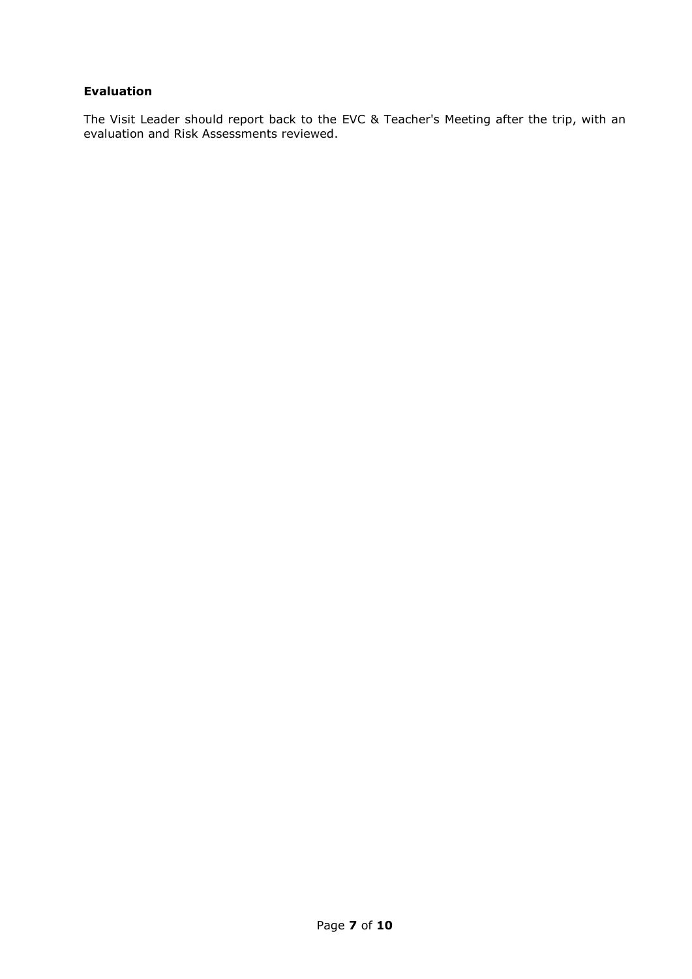# **Evaluation**

The Visit Leader should report back to the EVC & Teacher's Meeting after the trip, with an evaluation and Risk Assessments reviewed.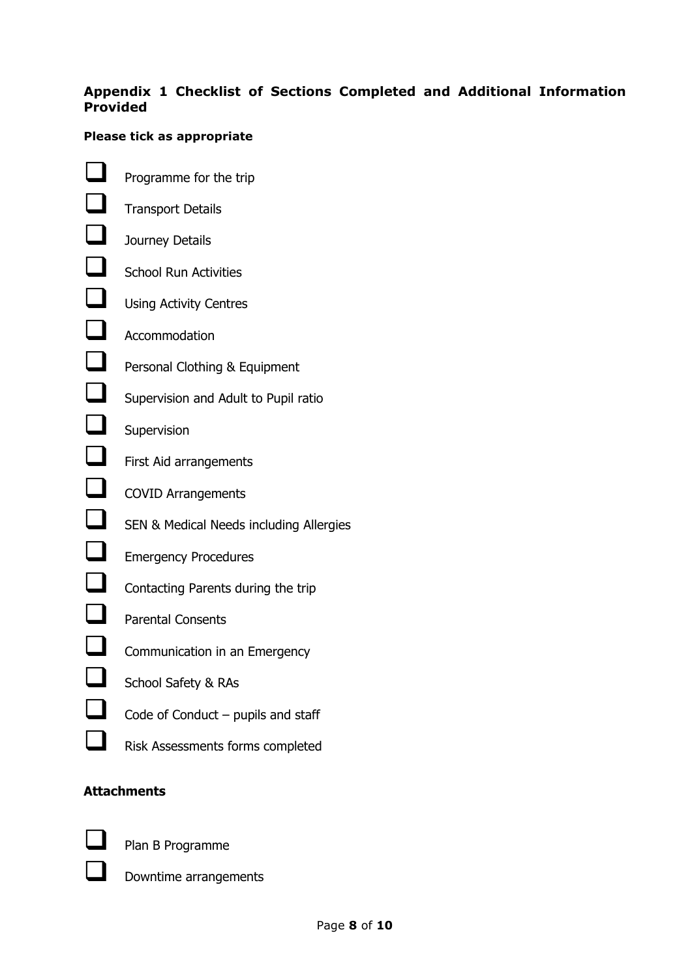# **Appendix 1 Checklist of Sections Completed and Additional Information Provided**

# **Please tick as appropriate**

 Programme for the trip  $\Box$  Transport Details Journey Details School Run Activities Using Activity Centres  $\Box$  Accommodation **Personal Clothing & Equipment** Supervision and Adult to Pupil ratio **Supervision Example 7** First Aid arrangements COVID Arrangements SEN & Medical Needs including Allergies **EXECUTE:** Emergency Procedures Contacting Parents during the trip  $\Box$  Parental Consents **Communication in an Emergency**  School Safety & RAs Code of Conduct – pupils and staff

# **Attachments**



Plan B Programme

Downtime arrangements

Risk Assessments forms completed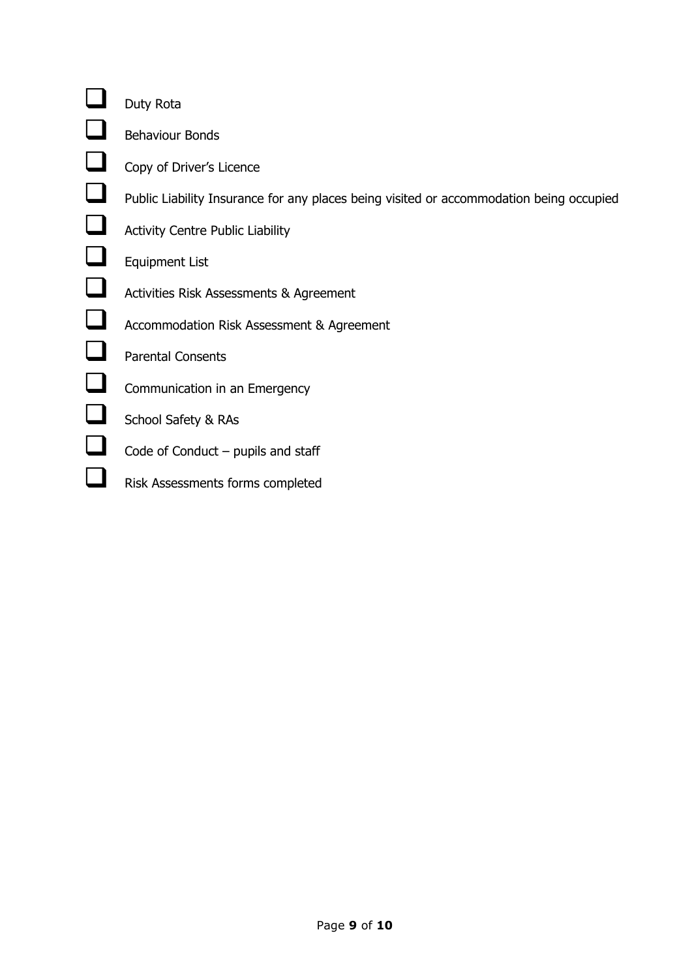# Duty Rota

**Behaviour Bonds** 

- Copy of Driver's Licence
- Public Liability Insurance for any places being visited or accommodation being occupied
- **Activity Centre Public Liability**
- Equipment List
- Activities Risk Assessments & Agreement
- Accommodation Risk Assessment & Agreement
- **Parental Consents**
- **Communication in an Emergency**
- School Safety & RAs
- $\Box$  Code of Conduct pupils and staff
- **Risk Assessments forms completed**